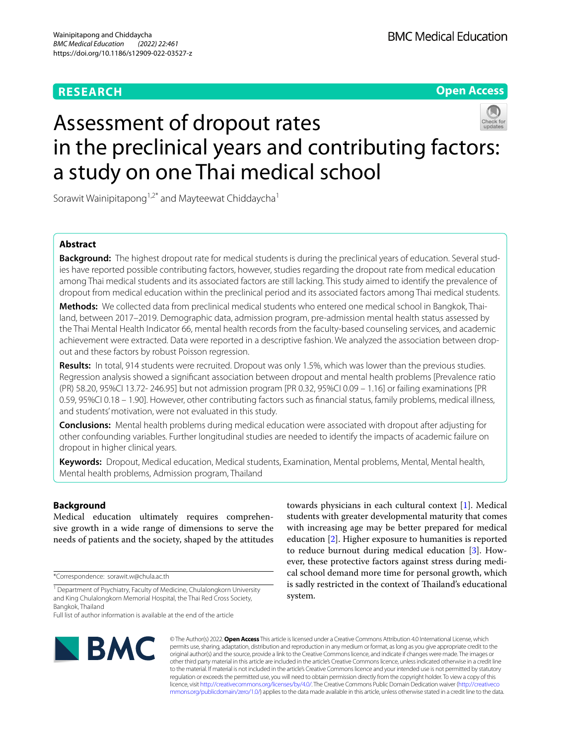# **RESEARCH**

**Open Access**

# Assessment of dropout rates in the preclinical years and contributing factors: a study on one Thai medical school

Sorawit Wainipitapong<sup>1,2\*</sup> and Mayteewat Chiddaycha<sup>1</sup>

# **Abstract**

**Background:** The highest dropout rate for medical students is during the preclinical years of education. Several studies have reported possible contributing factors, however, studies regarding the dropout rate from medical education among Thai medical students and its associated factors are still lacking. This study aimed to identify the prevalence of dropout from medical education within the preclinical period and its associated factors among Thai medical students.

**Methods:** We collected data from preclinical medical students who entered one medical school in Bangkok, Thailand, between 2017–2019. Demographic data, admission program, pre-admission mental health status assessed by the Thai Mental Health Indicator 66, mental health records from the faculty-based counseling services, and academic achievement were extracted. Data were reported in a descriptive fashion. We analyzed the association between dropout and these factors by robust Poisson regression.

**Results:** In total, 914 students were recruited. Dropout was only 1.5%, which was lower than the previous studies. Regression analysis showed a signifcant association between dropout and mental health problems [Prevalence ratio (PR) 58.20, 95%CI 13.72- 246.95] but not admission program [PR 0.32, 95%CI 0.09 – 1.16] or failing examinations [PR 0.59, 95%CI 0.18 – 1.90]. However, other contributing factors such as fnancial status, family problems, medical illness, and students' motivation, were not evaluated in this study.

**Conclusions:** Mental health problems during medical education were associated with dropout after adjusting for other confounding variables. Further longitudinal studies are needed to identify the impacts of academic failure on dropout in higher clinical years.

**Keywords:** Dropout, Medical education, Medical students, Examination, Mental problems, Mental, Mental health, Mental health problems, Admission program, Thailand

# **Background**

Medical education ultimately requires comprehensive growth in a wide range of dimensions to serve the needs of patients and the society, shaped by the attitudes

\*Correspondence: sorawit.w@chula.ac.th

**BMC** 

towards physicians in each cultural context [[1\]](#page-6-0). Medical students with greater developmental maturity that comes with increasing age may be better prepared for medical education [\[2\]](#page-6-1). Higher exposure to humanities is reported to reduce burnout during medical education [\[3\]](#page-6-2). However, these protective factors against stress during medical school demand more time for personal growth, which is sadly restricted in the context of Thailand's educational system.

© The Author(s) 2022. **Open Access** This article is licensed under a Creative Commons Attribution 4.0 International License, which permits use, sharing, adaptation, distribution and reproduction in any medium or format, as long as you give appropriate credit to the original author(s) and the source, provide a link to the Creative Commons licence, and indicate if changes were made. The images or other third party material in this article are included in the article's Creative Commons licence, unless indicated otherwise in a credit line to the material. If material is not included in the article's Creative Commons licence and your intended use is not permitted by statutory regulation or exceeds the permitted use, you will need to obtain permission directly from the copyright holder. To view a copy of this licence, visit [http://creativecommons.org/licenses/by/4.0/.](http://creativecommons.org/licenses/by/4.0/) The Creative Commons Public Domain Dedication waiver ([http://creativeco](http://creativecommons.org/publicdomain/zero/1.0/) [mmons.org/publicdomain/zero/1.0/](http://creativecommons.org/publicdomain/zero/1.0/)) applies to the data made available in this article, unless otherwise stated in a credit line to the data.

<sup>&</sup>lt;sup>1</sup> Department of Psychiatry, Faculty of Medicine, Chulalongkorn University and King Chulalongkorn Memorial Hospital, the Thai Red Cross Society, Bangkok, Thailand

Full list of author information is available at the end of the article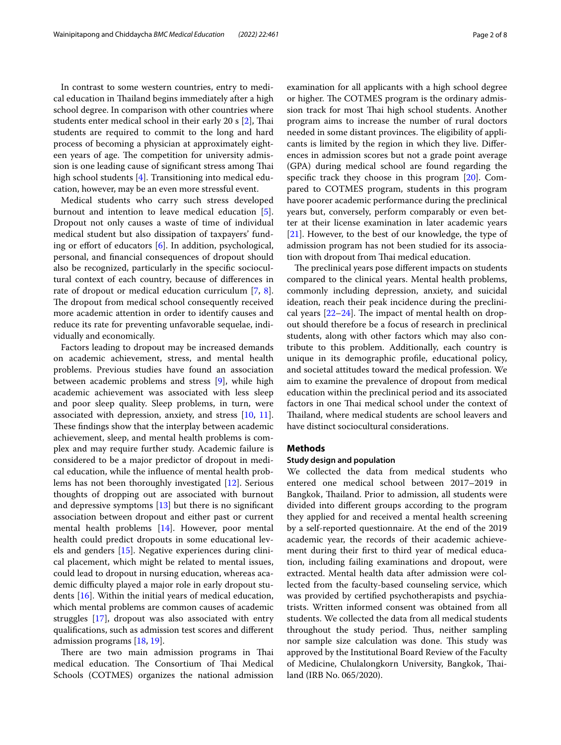In contrast to some western countries, entry to medical education in Thailand begins immediately after a high school degree. In comparison with other countries where students enter medical school in their early [2](#page-6-1)0 s [2], Thai students are required to commit to the long and hard process of becoming a physician at approximately eighteen years of age. The competition for university admission is one leading cause of significant stress among Thai high school students [\[4](#page-6-3)]. Transitioning into medical education, however, may be an even more stressful event.

Medical students who carry such stress developed burnout and intention to leave medical education [\[5](#page-6-4)]. Dropout not only causes a waste of time of individual medical student but also dissipation of taxpayers' fund-ing or effort of educators [[6\]](#page-6-5). In addition, psychological, personal, and fnancial consequences of dropout should also be recognized, particularly in the specifc sociocultural context of each country, because of diferences in rate of dropout or medical education curriculum [[7](#page-6-6), [8](#page-6-7)]. The dropout from medical school consequently received more academic attention in order to identify causes and reduce its rate for preventing unfavorable sequelae, individually and economically.

Factors leading to dropout may be increased demands on academic achievement, stress, and mental health problems. Previous studies have found an association between academic problems and stress [\[9](#page-6-8)], while high academic achievement was associated with less sleep and poor sleep quality. Sleep problems, in turn, were associated with depression, anxiety, and stress [\[10](#page-6-9), [11](#page-6-10)]. These findings show that the interplay between academic achievement, sleep, and mental health problems is complex and may require further study. Academic failure is considered to be a major predictor of dropout in medical education, while the infuence of mental health problems has not been thoroughly investigated [\[12](#page-6-11)]. Serious thoughts of dropping out are associated with burnout and depressive symptoms  $[13]$  $[13]$  $[13]$  but there is no significant association between dropout and either past or current mental health problems [\[14](#page-6-13)]. However, poor mental health could predict dropouts in some educational levels and genders [\[15](#page-6-14)]. Negative experiences during clinical placement, which might be related to mental issues, could lead to dropout in nursing education, whereas academic difficulty played a major role in early dropout students [\[16\]](#page-6-15). Within the initial years of medical education, which mental problems are common causes of academic struggles [\[17\]](#page-6-16), dropout was also associated with entry qualifcations, such as admission test scores and diferent admission programs [\[18](#page-6-17), [19](#page-6-18)].

There are two main admission programs in Thai medical education. The Consortium of Thai Medical Schools (COTMES) organizes the national admission examination for all applicants with a high school degree or higher. The COTMES program is the ordinary admission track for most Thai high school students. Another program aims to increase the number of rural doctors needed in some distant provinces. The eligibility of applicants is limited by the region in which they live. Diferences in admission scores but not a grade point average (GPA) during medical school are found regarding the specifc track they choose in this program [\[20](#page-6-19)]. Compared to COTMES program, students in this program have poorer academic performance during the preclinical years but, conversely, perform comparably or even better at their license examination in later academic years [[21\]](#page-6-20). However, to the best of our knowledge, the type of admission program has not been studied for its association with dropout from Thai medical education.

The preclinical years pose different impacts on students compared to the clinical years. Mental health problems, commonly including depression, anxiety, and suicidal ideation, reach their peak incidence during the preclinical years  $[22-24]$  $[22-24]$  $[22-24]$ . The impact of mental health on dropout should therefore be a focus of research in preclinical students, along with other factors which may also contribute to this problem. Additionally, each country is unique in its demographic profle, educational policy, and societal attitudes toward the medical profession. We aim to examine the prevalence of dropout from medical education within the preclinical period and its associated factors in one Thai medical school under the context of Thailand, where medical students are school leavers and have distinct sociocultural considerations.

#### **Methods**

#### **Study design and population**

We collected the data from medical students who entered one medical school between 2017–2019 in Bangkok, Thailand. Prior to admission, all students were divided into diferent groups according to the program they applied for and received a mental health screening by a self-reported questionnaire. At the end of the 2019 academic year, the records of their academic achievement during their frst to third year of medical education, including failing examinations and dropout, were extracted. Mental health data after admission were collected from the faculty-based counseling service, which was provided by certifed psychotherapists and psychiatrists. Written informed consent was obtained from all students. We collected the data from all medical students throughout the study period. Thus, neither sampling nor sample size calculation was done. This study was approved by the Institutional Board Review of the Faculty of Medicine, Chulalongkorn University, Bangkok, Tailand (IRB No. 065/2020).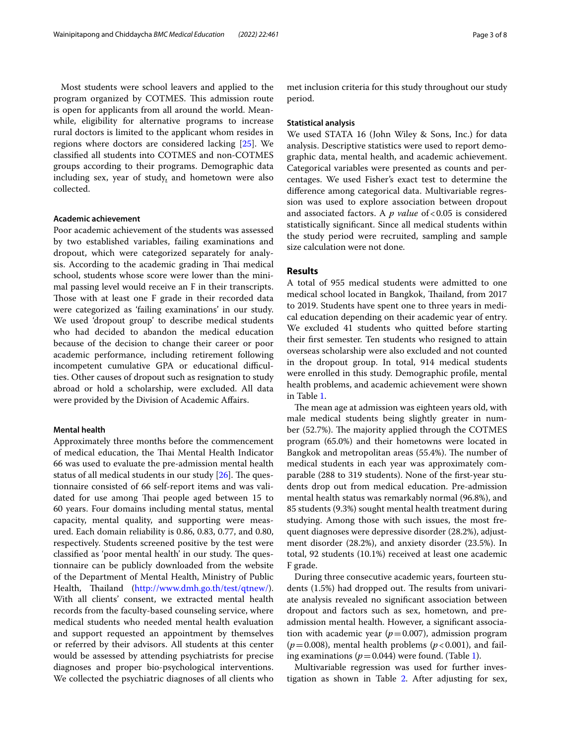Most students were school leavers and applied to the program organized by COTMES. This admission route is open for applicants from all around the world. Meanwhile, eligibility for alternative programs to increase rural doctors is limited to the applicant whom resides in regions where doctors are considered lacking [\[25](#page-6-23)]. We classifed all students into COTMES and non-COTMES groups according to their programs. Demographic data including sex, year of study, and hometown were also collected.

#### **Academic achievement**

Poor academic achievement of the students was assessed by two established variables, failing examinations and dropout, which were categorized separately for analysis. According to the academic grading in Thai medical school, students whose score were lower than the minimal passing level would receive an F in their transcripts. Those with at least one F grade in their recorded data were categorized as 'failing examinations' in our study. We used 'dropout group' to describe medical students who had decided to abandon the medical education because of the decision to change their career or poor academic performance, including retirement following incompetent cumulative GPA or educational difficulties. Other causes of dropout such as resignation to study abroad or hold a scholarship, were excluded. All data were provided by the Division of Academic Afairs.

## **Mental health**

Approximately three months before the commencement of medical education, the Thai Mental Health Indicator 66 was used to evaluate the pre-admission mental health status of all medical students in our study  $[26]$  $[26]$ . The questionnaire consisted of 66 self-report items and was validated for use among Thai people aged between 15 to 60 years. Four domains including mental status, mental capacity, mental quality, and supporting were measured. Each domain reliability is 0.86, 0.83, 0.77, and 0.80, respectively. Students screened positive by the test were classified as 'poor mental health' in our study. The questionnaire can be publicly downloaded from the website of the Department of Mental Health, Ministry of Public Health, Thailand [\(http://www.dmh.go.th/test/qtnew/](http://www.dmh.go.th/test/qtnew/)). With all clients' consent, we extracted mental health records from the faculty-based counseling service, where medical students who needed mental health evaluation and support requested an appointment by themselves or referred by their advisors. All students at this center would be assessed by attending psychiatrists for precise diagnoses and proper bio-psychological interventions. We collected the psychiatric diagnoses of all clients who met inclusion criteria for this study throughout our study period.

#### **Statistical analysis**

We used STATA 16 (John Wiley & Sons, Inc.) for data analysis. Descriptive statistics were used to report demographic data, mental health, and academic achievement. Categorical variables were presented as counts and percentages. We used Fisher's exact test to determine the diference among categorical data. Multivariable regression was used to explore association between dropout and associated factors. A *p value* of <0.05 is considered statistically signifcant. Since all medical students within the study period were recruited, sampling and sample size calculation were not done.

# **Results**

A total of 955 medical students were admitted to one medical school located in Bangkok, Thailand, from 2017 to 2019. Students have spent one to three years in medical education depending on their academic year of entry. We excluded 41 students who quitted before starting their frst semester. Ten students who resigned to attain overseas scholarship were also excluded and not counted in the dropout group. In total, 914 medical students were enrolled in this study. Demographic profle, mental health problems, and academic achievement were shown in Table [1.](#page-3-0)

The mean age at admission was eighteen years old, with male medical students being slightly greater in number (52.7%). The majority applied through the COTMES program (65.0%) and their hometowns were located in Bangkok and metropolitan areas (55.4%). The number of medical students in each year was approximately comparable (288 to 319 students). None of the frst-year students drop out from medical education. Pre-admission mental health status was remarkably normal (96.8%), and 85 students (9.3%) sought mental health treatment during studying. Among those with such issues, the most frequent diagnoses were depressive disorder (28.2%), adjustment disorder (28.2%), and anxiety disorder (23.5%). In total, 92 students (10.1%) received at least one academic F grade.

During three consecutive academic years, fourteen students  $(1.5%)$  had dropped out. The results from univariate analysis revealed no signifcant association between dropout and factors such as sex, hometown, and preadmission mental health. However, a signifcant association with academic year  $(p=0.007)$ , admission program  $(p=0.008)$ , mental health problems ( $p<0.001$ ), and failing examinations ( $p = 0.044$ ) were found. (Table [1\)](#page-3-0).

Multivariable regression was used for further investigation as shown in Table [2.](#page-4-0) After adjusting for sex,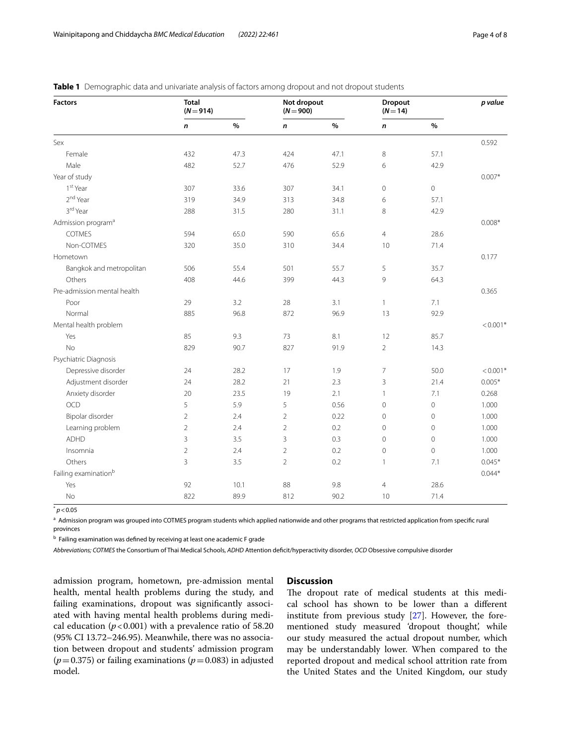| <b>Factors</b>                   | <b>Total</b><br>$(N = 914)$ |      | Not dropout<br>$(N = 900)$ |      | Dropout<br>$(N=14)$ |                | p value    |
|----------------------------------|-----------------------------|------|----------------------------|------|---------------------|----------------|------------|
|                                  | n                           | $\%$ | $\pmb{n}$                  | $\%$ | $\pmb{n}$           | $\%$           |            |
| Sex                              |                             |      |                            |      |                     |                | 0.592      |
| Female                           | 432                         | 47.3 | 424                        | 47.1 | 8                   | 57.1           |            |
| Male                             | 482                         | 52.7 | 476                        | 52.9 | 6                   | 42.9           |            |
| Year of study                    |                             |      |                            |      |                     |                | $0.007*$   |
| 1 <sup>st</sup> Year             | 307                         | 33.6 | 307                        | 34.1 | $\mathbf 0$         | $\mathbf 0$    |            |
| 2 <sup>nd</sup> Year             | 319                         | 34.9 | 313                        | 34.8 | 6                   | 57.1           |            |
| 3rd Year                         | 288                         | 31.5 | 280                        | 31.1 | 8                   | 42.9           |            |
| Admission program <sup>a</sup>   |                             |      |                            |      |                     |                | $0.008*$   |
| <b>COTMES</b>                    | 594                         | 65.0 | 590                        | 65.6 | $\overline{4}$      | 28.6           |            |
| Non-COTMES                       | 320                         | 35.0 | 310                        | 34.4 | 10                  | 71.4           |            |
| Hometown                         |                             |      |                            |      |                     |                | 0.177      |
| Bangkok and metropolitan         | 506                         | 55.4 | 501                        | 55.7 | 5                   | 35.7           |            |
| Others                           | 408                         | 44.6 | 399                        | 44.3 | 9                   | 64.3           |            |
| Pre-admission mental health      |                             |      |                            |      |                     |                | 0.365      |
| Poor                             | 29                          | 3.2  | 28                         | 3.1  | $\mathbf{1}$        | 7.1            |            |
| Normal                           | 885                         | 96.8 | 872                        | 96.9 | 13                  | 92.9           |            |
| Mental health problem            |                             |      |                            |      |                     |                | $< 0.001*$ |
| Yes                              | 85                          | 9.3  | 73                         | 8.1  | 12                  | 85.7           |            |
| No                               | 829                         | 90.7 | 827                        | 91.9 | $\overline{2}$      | 14.3           |            |
| Psychiatric Diagnosis            |                             |      |                            |      |                     |                |            |
| Depressive disorder              | 24                          | 28.2 | 17                         | 1.9  | $\overline{7}$      | 50.0           | $< 0.001*$ |
| Adjustment disorder              | 24                          | 28.2 | 21                         | 2.3  | 3                   | 21.4           | $0.005*$   |
| Anxiety disorder                 | 20                          | 23.5 | 19                         | 2.1  | $\mathbf{1}$        | 7.1            | 0.268      |
| <b>OCD</b>                       | 5                           | 5.9  | 5                          | 0.56 | $\mathbf{0}$        | $\overline{0}$ | 1.000      |
| Bipolar disorder                 | $\overline{2}$              | 2.4  | $\overline{2}$             | 0.22 | $\mathbf{0}$        | $\mathbf 0$    | 1.000      |
| Learning problem                 | $\overline{2}$              | 2.4  | $\overline{2}$             | 0.2  | $\mathbf 0$         | $\mathbf 0$    | 1.000      |
| <b>ADHD</b>                      | 3                           | 3.5  | 3                          | 0.3  | $\mathbf 0$         | $\mathbf 0$    | 1.000      |
| Insomnia                         | $\mathbf 2$                 | 2.4  | $\overline{2}$             | 0.2  | $\mathbf 0$         | $\mathbf 0$    | 1.000      |
| Others                           | 3                           | 3.5  | $\overline{2}$             | 0.2  | $\mathbf{1}$        | 7.1            | $0.045*$   |
| Failing examination <sup>b</sup> |                             |      |                            |      |                     |                | $0.044*$   |
| Yes                              | 92                          | 10.1 | 88                         | 9.8  | $\overline{4}$      | 28.6           |            |
| <b>No</b>                        | 822                         | 89.9 | 812                        | 90.2 | 10                  | 71.4           |            |

<span id="page-3-0"></span>**Table 1** Demographic data and univariate analysis of factors among dropout and not dropout students

 $^*$  *p* < 0.05

a Admission program was grouped into COTMES program students which applied nationwide and other programs that restricted application from specific rural provinces

**b Failing examination was defined by receiving at least one academic F grade** 

*Abbreviations; COTMES* the Consortium of Thai Medical Schools, *ADHD* Attention defcit/hyperactivity disorder, *OCD* Obsessive compulsive disorder

admission program, hometown, pre-admission mental health, mental health problems during the study, and failing examinations, dropout was signifcantly associated with having mental health problems during medical education  $(p<0.001)$  with a prevalence ratio of 58.20 (95% CI 13.72–246.95). Meanwhile, there was no association between dropout and students' admission program  $(p=0.375)$  or failing examinations ( $p=0.083$ ) in adjusted model.

# **Discussion**

The dropout rate of medical students at this medical school has shown to be lower than a diferent institute from previous study [[27\]](#page-6-25). However, the forementioned study measured 'dropout thought', while our study measured the actual dropout number, which may be understandably lower. When compared to the reported dropout and medical school attrition rate from the United States and the United Kingdom, our study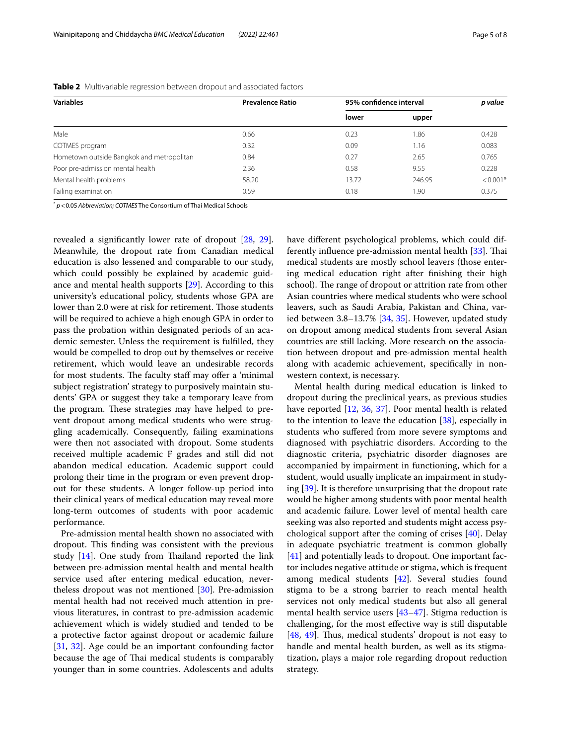| <b>Variables</b>                          | <b>Prevalence Ratio</b> | 95% confidence interval | p value |            |
|-------------------------------------------|-------------------------|-------------------------|---------|------------|
|                                           |                         | lower                   | upper   |            |
| Male                                      | 0.66                    | 0.23                    | 1.86    | 0.428      |
| COTMES program                            | 0.32                    | 0.09                    | 1.16    | 0.083      |
| Hometown outside Bangkok and metropolitan | 0.84                    | 0.27                    | 2.65    | 0.765      |
| Poor pre-admission mental health          | 2.36                    | 0.58                    | 9.55    | 0.228      |
| Mental health problems                    | 58.20                   | 13.72                   | 246.95  | $< 0.001*$ |
| Failing examination                       | 0.59                    | 0.18                    | 1.90    | 0.375      |

<span id="page-4-0"></span>**Table 2** Multivariable regression between dropout and associated factors

\* *p*<0.05 *Abbreviation; COTMES* The Consortium of Thai Medical Schools

revealed a signifcantly lower rate of dropout [[28,](#page-6-26) [29](#page-6-27)]. Meanwhile, the dropout rate from Canadian medical education is also lessened and comparable to our study, which could possibly be explained by academic guidance and mental health supports [[29\]](#page-6-27). According to this university's educational policy, students whose GPA are lower than 2.0 were at risk for retirement. Those students will be required to achieve a high enough GPA in order to pass the probation within designated periods of an academic semester. Unless the requirement is fulflled, they would be compelled to drop out by themselves or receive retirement, which would leave an undesirable records for most students. The faculty staff may offer a 'minimal subject registration' strategy to purposively maintain students' GPA or suggest they take a temporary leave from the program. These strategies may have helped to prevent dropout among medical students who were struggling academically. Consequently, failing examinations were then not associated with dropout. Some students received multiple academic F grades and still did not abandon medical education. Academic support could prolong their time in the program or even prevent dropout for these students. A longer follow-up period into their clinical years of medical education may reveal more long-term outcomes of students with poor academic performance.

Pre-admission mental health shown no associated with dropout. This finding was consistent with the previous study  $[14]$ . One study from Thailand reported the link between pre-admission mental health and mental health service used after entering medical education, nevertheless dropout was not mentioned [[30\]](#page-6-28). Pre-admission mental health had not received much attention in previous literatures, in contrast to pre-admission academic achievement which is widely studied and tended to be a protective factor against dropout or academic failure [[31,](#page-7-0) [32](#page-7-1)]. Age could be an important confounding factor because the age of Thai medical students is comparably younger than in some countries. Adolescents and adults have diferent psychological problems, which could dif-ferently influence pre-admission mental health [[33](#page-7-2)]. Thai medical students are mostly school leavers (those entering medical education right after fnishing their high school). The range of dropout or attrition rate from other Asian countries where medical students who were school leavers, such as Saudi Arabia, Pakistan and China, varied between 3.8–13.7% [\[34](#page-7-3), [35](#page-7-4)]. However, updated study on dropout among medical students from several Asian countries are still lacking. More research on the association between dropout and pre-admission mental health along with academic achievement, specifcally in nonwestern context, is necessary.

Mental health during medical education is linked to dropout during the preclinical years, as previous studies have reported [[12,](#page-6-11) [36,](#page-7-5) [37](#page-7-6)]. Poor mental health is related to the intention to leave the education [[38\]](#page-7-7), especially in students who sufered from more severe symptoms and diagnosed with psychiatric disorders. According to the diagnostic criteria, psychiatric disorder diagnoses are accompanied by impairment in functioning, which for a student, would usually implicate an impairment in studying [\[39\]](#page-7-8). It is therefore unsurprising that the dropout rate would be higher among students with poor mental health and academic failure. Lower level of mental health care seeking was also reported and students might access psychological support after the coming of crises [\[40\]](#page-7-9). Delay in adequate psychiatric treatment is common globally [[41\]](#page-7-10) and potentially leads to dropout. One important factor includes negative attitude or stigma, which is frequent among medical students [[42\]](#page-7-11). Several studies found stigma to be a strong barrier to reach mental health services not only medical students but also all general mental health service users [[43](#page-7-12)[–47](#page-7-13)]. Stigma reduction is challenging, for the most efective way is still disputable [[48,](#page-7-14) [49](#page-7-15)]. Thus, medical students' dropout is not easy to handle and mental health burden, as well as its stigmatization, plays a major role regarding dropout reduction strategy.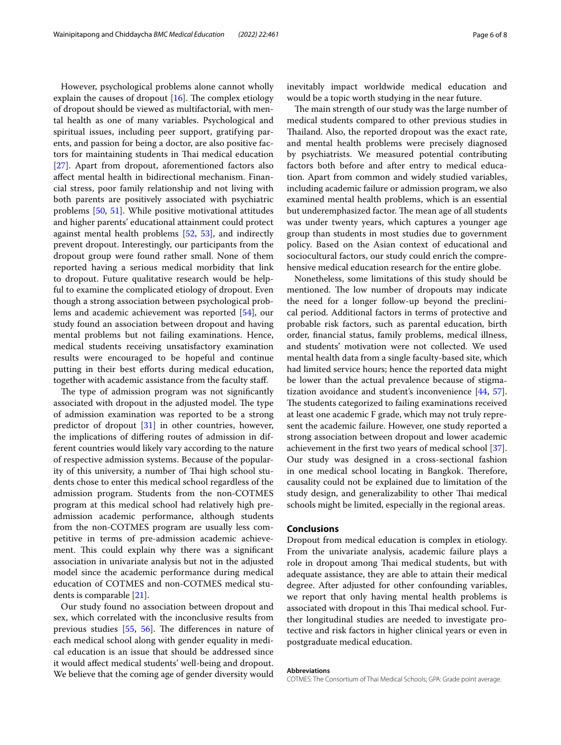However, psychological problems alone cannot wholly explain the causes of dropout  $[16]$  $[16]$ . The complex etiology of dropout should be viewed as multifactorial, with mental health as one of many variables. Psychological and spiritual issues, including peer support, gratifying parents, and passion for being a doctor, are also positive factors for maintaining students in Thai medical education [[27\]](#page-6-25). Apart from dropout, aforementioned factors also afect mental health in bidirectional mechanism. Financial stress, poor family relationship and not living with both parents are positively associated with psychiatric problems [[50](#page-7-16), [51](#page-7-17)]. While positive motivational attitudes and higher parents' educational attainment could protect against mental health problems [[52,](#page-7-18) [53\]](#page-7-19), and indirectly prevent dropout. Interestingly, our participants from the dropout group were found rather small. None of them reported having a serious medical morbidity that link to dropout. Future qualitative research would be helpful to examine the complicated etiology of dropout. Even though a strong association between psychological problems and academic achievement was reported [\[54](#page-7-20)], our study found an association between dropout and having mental problems but not failing examinations. Hence, medical students receiving unsatisfactory examination results were encouraged to be hopeful and continue putting in their best efforts during medical education, together with academic assistance from the faculty staf.

The type of admission program was not significantly associated with dropout in the adjusted model. The type of admission examination was reported to be a strong predictor of dropout [[31](#page-7-0)] in other countries, however, the implications of difering routes of admission in different countries would likely vary according to the nature of respective admission systems. Because of the popularity of this university, a number of Thai high school students chose to enter this medical school regardless of the admission program. Students from the non-COTMES program at this medical school had relatively high preadmission academic performance, although students from the non-COTMES program are usually less competitive in terms of pre-admission academic achievement. This could explain why there was a significant association in univariate analysis but not in the adjusted model since the academic performance during medical education of COTMES and non-COTMES medical students is comparable [\[21](#page-6-20)].

Our study found no association between dropout and sex, which correlated with the inconclusive results from previous studies  $[55, 56]$  $[55, 56]$  $[55, 56]$  $[55, 56]$ . The differences in nature of each medical school along with gender equality in medical education is an issue that should be addressed since it would afect medical students' well-being and dropout. We believe that the coming age of gender diversity would inevitably impact worldwide medical education and would be a topic worth studying in the near future.

The main strength of our study was the large number of medical students compared to other previous studies in Thailand. Also, the reported dropout was the exact rate, and mental health problems were precisely diagnosed by psychiatrists. We measured potential contributing factors both before and after entry to medical education. Apart from common and widely studied variables, including academic failure or admission program, we also examined mental health problems, which is an essential but underemphasized factor. The mean age of all students was under twenty years, which captures a younger age group than students in most studies due to government policy. Based on the Asian context of educational and sociocultural factors, our study could enrich the comprehensive medical education research for the entire globe.

Nonetheless, some limitations of this study should be mentioned. The low number of dropouts may indicate the need for a longer follow-up beyond the preclinical period. Additional factors in terms of protective and probable risk factors, such as parental education, birth order, fnancial status, family problems, medical illness, and students' motivation were not collected. We used mental health data from a single faculty-based site, which had limited service hours; hence the reported data might be lower than the actual prevalence because of stigmatization avoidance and student's inconvenience [[44,](#page-7-23) [57](#page-7-24)]. The students categorized to failing examinations received at least one academic F grade, which may not truly represent the academic failure. However, one study reported a strong association between dropout and lower academic achievement in the frst two years of medical school [\[37](#page-7-6)]. Our study was designed in a cross-sectional fashion in one medical school locating in Bangkok. Therefore, causality could not be explained due to limitation of the study design, and generalizability to other Thai medical schools might be limited, especially in the regional areas.

# **Conclusions**

Dropout from medical education is complex in etiology. From the univariate analysis, academic failure plays a role in dropout among Thai medical students, but with adequate assistance, they are able to attain their medical degree. After adjusted for other confounding variables, we report that only having mental health problems is associated with dropout in this Thai medical school. Further longitudinal studies are needed to investigate protective and risk factors in higher clinical years or even in postgraduate medical education.

#### **Abbreviations**

COTMES: The Consortium of Thai Medical Schools; GPA: Grade point average.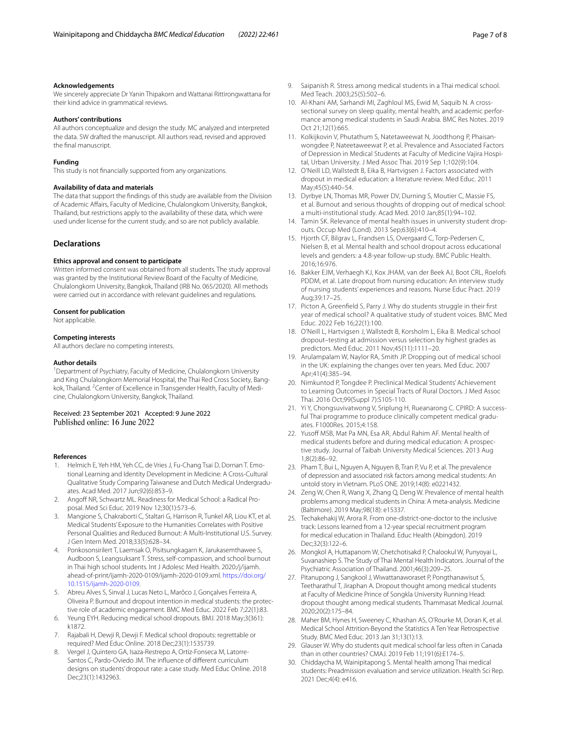#### **Acknowledgements**

We sincerely appreciate Dr Yanin Thipakorn and Wattanai Rittirongwattana for their kind advice in grammatical reviews.

#### **Authors' contributions**

All authors conceptualize and design the study. MC analyzed and interpreted the data. SW drafted the manuscript. All authors read, revised and approved the fnal manuscript.

#### **Funding**

This study is not fnancially supported from any organizations.

#### **Availability of data and materials**

The data that support the fndings of this study are available from the Division of Academic Afairs, Faculty of Medicine, Chulalongkorn University, Bangkok, Thailand, but restrictions apply to the availability of these data, which were used under license for the current study, and so are not publicly available.

#### **Declarations**

#### **Ethics approval and consent to participate**

Written informed consent was obtained from all students. The study approval was granted by the Institutional Review Board of the Faculty of Medicine, Chulalongkorn University, Bangkok, Thailand (IRB No. 065/2020). All methods were carried out in accordance with relevant guidelines and regulations.

#### **Consent for publication**

Not applicable.

#### **Competing interests**

All authors declare no competing interests.

#### **Author details**

<sup>1</sup> Department of Psychiatry, Faculty of Medicine, Chulalongkorn University and King Chulalongkorn Memorial Hospital, the Thai Red Cross Society, Bangkok, Thailand. <sup>2</sup> Center of Excellence in Transgender Health, Faculty of Medicine, Chulalongkorn University, Bangkok, Thailand.

# Received: 23 September 2021 Accepted: 9 June 2022

#### **References**

- <span id="page-6-0"></span>1. Helmich E, Yeh HM, Yeh CC, de Vries J, Fu-Chang Tsai D, Dornan T. Emotional Learning and Identity Development in Medicine: A Cross-Cultural Qualitative Study Comparing Taiwanese and Dutch Medical Undergraduates. Acad Med. 2017 Jun;92(6):853–9.
- <span id="page-6-1"></span>2. Angoff NR, Schwartz ML. Readiness for Medical School: a Radical Proposal. Med Sci Educ. 2019 Nov 12;30(1):573–6.
- <span id="page-6-2"></span>3. Mangione S, Chakraborti C, Staltari G, Harrison R, Tunkel AR, Liou KT, et al. Medical Students' Exposure to the Humanities Correlates with Positive Personal Qualities and Reduced Burnout: A Multi-Institutional U.S. Survey. J Gen Intern Med. 2018;33(5):628–34.
- <span id="page-6-3"></span>4. Ponkosonsirilert T, Laemsak O, Pisitsungkagarn K, Jarukasemthawee S, Audboon S, Leangsuksant T. Stress, self-compassion, and school burnout in Thai high school students. Int J Adolesc Med Health. 2020:/j/ijamh. ahead-of-print/ijamh-2020-0109/ijamh-2020-0109.xml. [https://doi.org/](https://doi.org/10.1515/ijamh-2020-0109) [10.1515/ijamh-2020-0109](https://doi.org/10.1515/ijamh-2020-0109).
- <span id="page-6-4"></span>5. Abreu Alves S, Sinval J, Lucas Neto L, Marôco J, Gonçalves Ferreira A, Oliveira P. Burnout and dropout intention in medical students: the protective role of academic engagement. BMC Med Educ. 2022 Feb 7;22(1):83.
- <span id="page-6-5"></span>6. Yeung EYH. Reducing medical school dropouts. BMJ. 2018 May;3(361): k1872.
- <span id="page-6-6"></span>7. Rajabali H, Dewji R, Dewji F. Medical school dropouts: regrettable or required? Med Educ Online. 2018 Dec;23(1):1535739.
- <span id="page-6-7"></span>8. Vergel J, Quintero GA, Isaza-Restrepo A, Ortiz-Fonseca M, Latorre-Santos C, Pardo-Oviedo JM. The infuence of diferent curriculum designs on students' dropout rate: a case study. Med Educ Online. 2018 Dec;23(1):1432963.
- <span id="page-6-8"></span>9. Saipanish R. Stress among medical students in a Thai medical school. Med Teach. 2003;25(5):502–6.
- <span id="page-6-9"></span>10. Al-Khani AM, Sarhandi MI, Zaghloul MS, Ewid M, Saquib N. A crosssectional survey on sleep quality, mental health, and academic performance among medical students in Saudi Arabia. BMC Res Notes. 2019 Oct 21;12(1):665.
- <span id="page-6-10"></span>11. Kolkijkovin V, Phutathum S, Natetaweewat N, Joodthong P, Phaisanwongdee P, Nateetaweewat P, et al. Prevalence and Associated Factors of Depression in Medical Students at Faculty of Medicine Vajira Hospital, Urban University. J Med Assoc Thai. 2019 Sep 1;102(9):104.
- <span id="page-6-11"></span>12. O'Neill LD, Wallstedt B, Eika B, Hartvigsen J. Factors associated with dropout in medical education: a literature review. Med Educ. 2011 May;45(5):440–54.
- <span id="page-6-12"></span>13. Dyrbye LN, Thomas MR, Power DV, Durning S, Moutier C, Massie FS, et al. Burnout and serious thoughts of dropping out of medical school: a multi-institutional study. Acad Med. 2010 Jan;85(1):94–102.
- <span id="page-6-13"></span>14. Tamin SK. Relevance of mental health issues in university student dropouts. Occup Med (Lond). 2013 Sep;63(6):410–4.
- <span id="page-6-14"></span>15. Hjorth CF, Bilgrav L, Frandsen LS, Overgaard C, Torp-Pedersen C, Nielsen B, et al. Mental health and school dropout across educational levels and genders: a 4.8-year follow-up study. BMC Public Health. 2016;16:976.
- <span id="page-6-15"></span>16. Bakker EJM, Verhaegh KJ, Kox JHAM, van der Beek AJ, Boot CRL, Roelofs PDDM, et al. Late dropout from nursing education: An interview study of nursing students' experiences and reasons. Nurse Educ Pract. 2019 Aug;39:17–25.
- <span id="page-6-16"></span>17. Picton A, Greenfeld S, Parry J. Why do students struggle in their frst year of medical school? A qualitative study of student voices. BMC Med Educ. 2022 Feb 16;22(1):100.
- <span id="page-6-17"></span>18. O'Neill L, Hartvigsen J, Wallstedt B, Korsholm L, Eika B. Medical school dropout–testing at admission versus selection by highest grades as predictors. Med Educ. 2011 Nov;45(11):1111–20.
- <span id="page-6-18"></span>19. Arulampalam W, Naylor RA, Smith JP. Dropping out of medical school in the UK: explaining the changes over ten years. Med Educ. 2007 Apr;41(4):385–94.
- <span id="page-6-19"></span>20. Nimkuntod P, Tongdee P. Preclinical Medical Students' Achievement to Learning Outcomes in Special Tracts of Rural Doctors. J Med Assoc Thai. 2016 Oct;99(Suppl 7):S105-110.
- <span id="page-6-20"></span>21. Yi Y, Chongsuvivatwong V, Sriplung H, Rueanarong C. CPIRD: A successful Thai programme to produce clinically competent medical graduates. F1000Res. 2015;4:158.
- <span id="page-6-21"></span>22. Yusoff MSB, Mat Pa MN, Esa AR, Abdul Rahim AF. Mental health of medical students before and during medical education: A prospective study. Journal of Taibah University Medical Sciences. 2013 Aug 1;8(2):86–92.
- 23. Pham T, Bui L, Nguyen A, Nguyen B, Tran P, Vu P, et al. The prevalence of depression and associated risk factors among medical students: An untold story in Vietnam. PLoS ONE. 2019;14(8): e0221432.
- <span id="page-6-22"></span>24. Zeng W, Chen R, Wang X, Zhang Q, Deng W. Prevalence of mental health problems among medical students in China: A meta-analysis. Medicine (Baltimore). 2019 May;98(18): e15337.
- <span id="page-6-23"></span>25. Techakehakij W, Arora R. From one-district-one-doctor to the inclusive track: Lessons learned from a 12-year special recruitment program for medical education in Thailand. Educ Health (Abingdon). 2019 Dec;32(3):122–6.
- <span id="page-6-24"></span>26. Mongkol A, Huttapanom W, Chetchotisakd P, Chalookul W, Punyoyai L, Suvanashiep S. The Study of Thai Mental Health Indicators. Journal of the Psychiatric Association of Thailand. 2001;46(3):209–25.
- <span id="page-6-25"></span>27. Pitanupong J, Sangkool J, Wiwattanaworaset P, Pongthanawisut S, Teetharathul T, Jiraphan A. Dropout thought among medical students at Faculty of Medicine Prince of Songkla University Running Head: dropout thought among medical students. Thammasat Medical Journal. 2020;20(2):175–84.
- <span id="page-6-26"></span>28. Maher BM, Hynes H, Sweeney C, Khashan AS, O'Rourke M, Doran K, et al. Medical School Attrition-Beyond the Statistics A Ten Year Retrospective Study. BMC Med Educ. 2013 Jan 31;13(1):13.
- <span id="page-6-27"></span>29. Glauser W. Why do students quit medical school far less often in Canada than in other countries? CMAJ. 2019 Feb 11;191(6):E174–5.
- <span id="page-6-28"></span>30. Chiddaycha M, Wainipitapong S. Mental health among Thai medical students: Preadmission evaluation and service utilization. Health Sci Rep. 2021 Dec;4(4): e416.